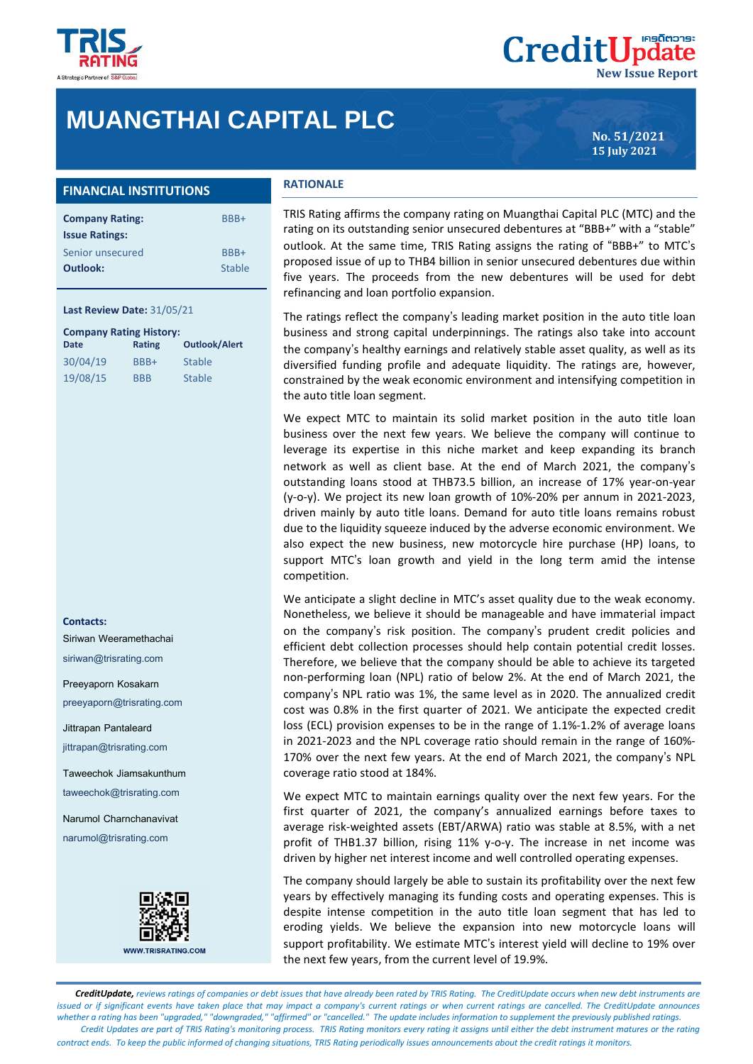

# **MUANGTHAI CAPITAL PLC**

**No. 51/2021 15 July 2021**

**New Issue Report**

**CreditUpdate** 

## **FINANCIAL INSTITUTIONS**

| <b>Company Rating:</b> | BBB+   |
|------------------------|--------|
| <b>Issue Ratings:</b>  |        |
| Senior unsecured       | BBB+   |
| <b>Outlook:</b>        | Stable |
|                        |        |

#### **Last Review Date:** 31/05/21

| <b>Company Rating History:</b> |            |                      |  |  |  |
|--------------------------------|------------|----------------------|--|--|--|
| Date                           | Rating     | <b>Outlook/Alert</b> |  |  |  |
| 30/04/19                       | BBB+       | <b>Stable</b>        |  |  |  |
| 19/08/15                       | <b>BBB</b> | <b>Stable</b>        |  |  |  |

**Contacts:**

Siriwan Weeramethachai siriwan@trisrating.com

Preeyaporn Kosakarn

preeyaporn@trisrating.com

Jittrapan Pantaleard jittrapan@trisrating.com

Taweechok Jiamsakunthum taweechok@trisrating.com

Narumol Charnchanavivat narumol@trisrating.com



**WWW.TRISRATING.COM** 

## **RATIONALE**

TRIS Rating affirms the company rating on Muangthai Capital PLC (MTC) and the rating on its outstanding senior unsecured debentures at "BBB+" with a "stable" outlook. At the same time, TRIS Rating assigns the rating of "BBB+" to MTC's proposed issue of up to THB4 billion in senior unsecured debentures due within five years. The proceeds from the new debentures will be used for debt refinancing and loan portfolio expansion.

The ratings reflect the company's leading market position in the auto title loan business and strong capital underpinnings. The ratings also take into account the company's healthy earnings and relatively stable asset quality, as well as its diversified funding profile and adequate liquidity. The ratings are, however, constrained by the weak economic environment and intensifying competition in the auto title loan segment.

We expect MTC to maintain its solid market position in the auto title loan business over the next few years. We believe the company will continue to leverage its expertise in this niche market and keep expanding its branch network as well as client base. At the end of March 2021, the company's outstanding loans stood at THB73.5 billion, an increase of 17% year-on-year (y-o-y). We project its new loan growth of 10%-20% per annum in 2021-2023, driven mainly by auto title loans. Demand for auto title loans remains robust due to the liquidity squeeze induced by the adverse economic environment. We also expect the new business, new motorcycle hire purchase (HP) loans, to support MTC's loan growth and yield in the long term amid the intense competition.

We anticipate a slight decline in MTC's asset quality due to the weak economy. Nonetheless, we believe it should be manageable and have immaterial impact on the company's risk position. The company's prudent credit policies and efficient debt collection processes should help contain potential credit losses. Therefore, we believe that the company should be able to achieve its targeted non-performing loan (NPL) ratio of below 2%. At the end of March 2021, the company's NPL ratio was 1%, the same level as in 2020. The annualized credit cost was 0.8% in the first quarter of 2021. We anticipate the expected credit loss (ECL) provision expenses to be in the range of 1.1%-1.2% of average loans in 2021-2023 and the NPL coverage ratio should remain in the range of 160%- 170% over the next few years. At the end of March 2021, the company's NPL coverage ratio stood at 184%.

We expect MTC to maintain earnings quality over the next few years. For the first quarter of 2021, the company's annualized earnings before taxes to average risk-weighted assets (EBT/ARWA) ratio was stable at 8.5%, with a net profit of THB1.37 billion, rising 11% y-o-y. The increase in net income was driven by higher net interest income and well controlled operating expenses.

The company should largely be able to sustain its profitability over the next few years by effectively managing its funding costs and operating expenses. This is despite intense competition in the auto title loan segment that has led to eroding yields. We believe the expansion into new motorcycle loans will support profitability. We estimate MTC's interest yield will decline to 19% over the next few years, from the current level of 19.9%.

 *CreditUpdate, reviews ratings of companies or debt issues that have already been rated by TRIS Rating. The CreditUpdate occurs when new debt instruments are issued or if significant events have taken place that may impact a company's current ratings or when current ratings are cancelled. The CreditUpdate announces whether a rating has been "upgraded," "downgraded," "affirmed" or "cancelled." The update includes information to supplement the previously published ratings. Credit Updates are part of TRIS Rating's monitoring process. TRIS Rating monitors every rating it assigns until either the debt instrument matures or the rating contract ends. To keep the public informed of changing situations, TRIS Rating periodically issues announcements about the credit ratings it monitors.*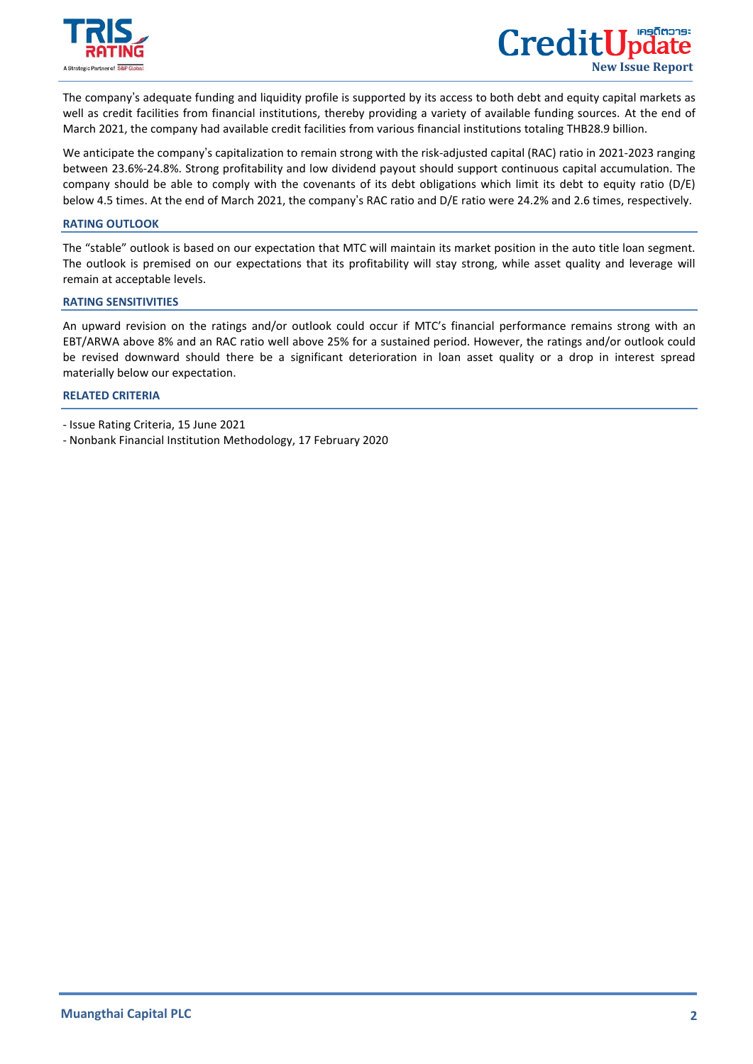

 $\overline{a}$ 

The company's adequate funding and liquidity profile is supported by its access to both debt and equity capital markets as well as credit facilities from financial institutions, thereby providing a variety of available funding sources. At the end of March 2021, the company had available credit facilities from various financial institutions totaling THB28.9 billion.

We anticipate the company's capitalization to remain strong with the risk-adjusted capital (RAC) ratio in 2021-2023 ranging between 23.6%-24.8%. Strong profitability and low dividend payout should support continuous capital accumulation. The company should be able to comply with the covenants of its debt obligations which limit its debt to equity ratio (D/E) below 4.5 times. At the end of March 2021, the company's RAC ratio and D/E ratio were 24.2% and 2.6 times, respectively.

#### **RATING OUTLOOK**

The "stable" outlook is based on our expectation that MTC will maintain its market position in the auto title loan segment. The outlook is premised on our expectations that its profitability will stay strong, while asset quality and leverage will remain at acceptable levels.

## **RATING SENSITIVITIES**

An upward revision on the ratings and/or outlook could occur if MTC's financial performance remains strong with an EBT/ARWA above 8% and an RAC ratio well above 25% for a sustained period. However, the ratings and/or outlook could be revised downward should there be a significant deterioration in loan asset quality or a drop in interest spread materially below our expectation.

## **[RELATED CRITERIA](https://www.trisrating.com/rating-information/rating-criteria/)**

- Issue Rating Criteria, 15 June 2021
- Nonbank Financial Institution Methodology, 17 February 2020